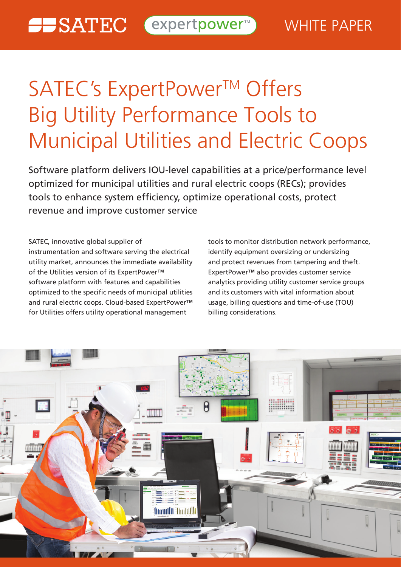# SATEC's ExpertPower™ Offers Big Utility Performance Tools to Municipal Utilities and Electric Coops

Software platform delivers IOU-level capabilities at a price/performance level optimized for municipal utilities and rural electric coops (RECs); provides tools to enhance system efficiency, optimize operational costs, protect revenue and improve customer service

SATEC, innovative global supplier of instrumentation and software serving the electrical utility market, announces the immediate availability of the Utilities version of its ExpertPower™ software platform with features and capabilities optimized to the specific needs of municipal utilities and rural electric coops. Cloud-based ExpertPower™ for Utilities offers utility operational management

tools to monitor distribution network performance, identify equipment oversizing or undersizing and protect revenues from tampering and theft. ExpertPower<sup>™</sup> also provides customer service analytics providing utility customer service groups and its customers with vital information about usage, billing questions and time-of-use (TOU) billing considerations.